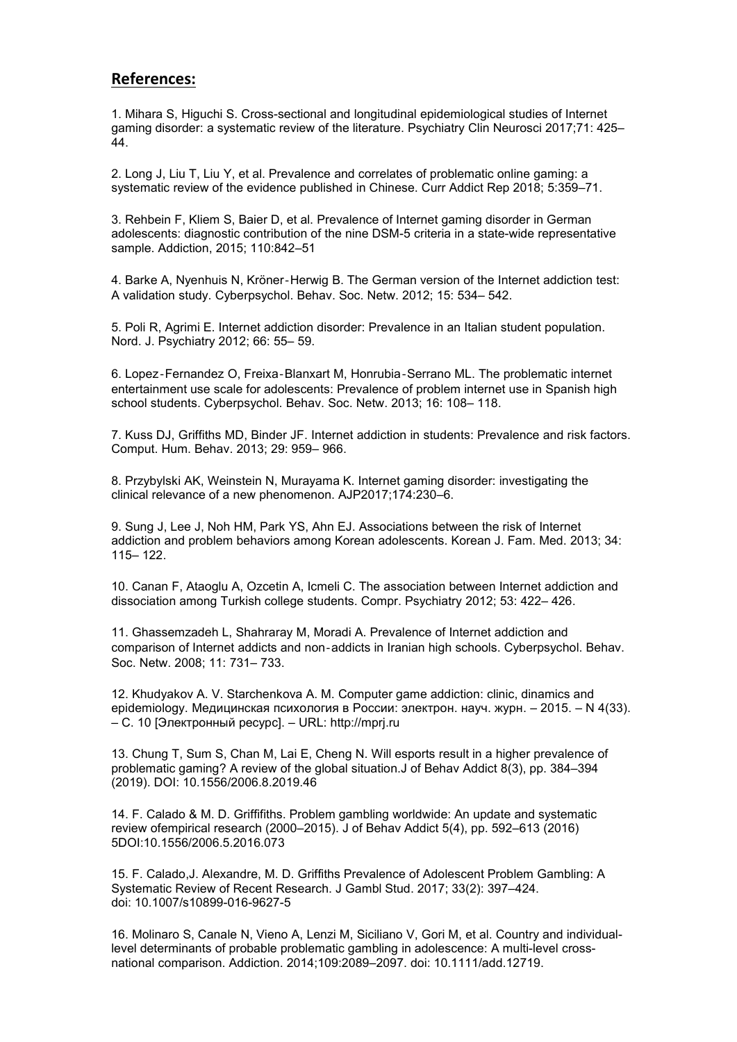## **References:**

1. Mihara S, Higuchi S. Cross-sectional and longitudinal epidemiological studies of Internet gaming disorder: a systematic review of the literature. Psychiatry Clin Neurosci 2017;71: 425– 44.

2. Long J, Liu T, Liu Y, et al. Prevalence and correlates of problematic online gaming: a systematic review of the evidence published in Chinese. Curr Addict Rep 2018; 5:359–71.

3. Rehbein F, Kliem S, Baier D, et al. Prevalence of Internet gaming disorder in German adolescents: diagnostic contribution of the nine DSM-5 criteria in a state-wide representative sample. Addiction, 2015; 110:842–51

4. Barke A, Nyenhuis N, Kröner‐Herwig B. The German version of the Internet addiction test: A validation study.Cyberpsychol. Behav. Soc. Netw. 2012; 15: 534– 542.

5. Poli R, Agrimi E. Internet addiction disorder: Prevalence in an Italian student population. Nord. J. Psychiatry 2012; 66: 55– 59.

6. Lopez‐Fernandez O, Freixa‐Blanxart M, Honrubia‐Serrano ML. The problematic internet entertainment use scale for adolescents: Prevalence of problem internet use in Spanish high school students. Cyberpsychol. Behav. Soc. Netw. 2013; 16: 108– 118.

7. Kuss DJ, Griffiths MD, Binder JF. Internet addiction in students: Prevalence and risk factors. Comput. Hum. Behav. 2013; 29: 959– 966.

8. Przybylski AK, Weinstein N, Murayama K. Internet gaming disorder: investigating the clinical relevance of a new phenomenon. AJP2017;174:230–6.

9. Sung J, Lee J, Noh HM, Park YS, Ahn EJ. Associations between the risk of Internet addiction and problem behaviors among Korean adolescents. Korean J. Fam. Med. 2013; 34: 115– 122.

10. Canan F, Ataoglu A, Ozcetin A, Icmeli C. The association between Internet addiction and dissociation among Turkish college students. Compr. Psychiatry 2012; 53: 422– 426.

11. Ghassemzadeh L, Shahraray M, Moradi A. Prevalence of Internet addiction and comparison of Internet addicts and non‐addicts in Iranian high schools. Cyberpsychol. Behav. Soc. Netw. 2008; 11: 731– 733.

12. Khudyakov A. V. Starchenkova A. M. Computer game addiction: clinic, dinamics and epidemiology. Медицинская психология в России: электрон. науч. журн. – 2015. – N 4(33). – C. 10 [Электронный ресурс]. – URL: http://mprj.ru

13. [Chung](https://www.ncbi.nlm.nih.gov/pubmed/?term=Chung T[Author]&cauthor=true&cauthor_uid=31553236) T, [Sum](https://www.ncbi.nlm.nih.gov/pubmed/?term=Sum S[Author]&cauthor=true&cauthor_uid=31553236) S, [Chan](https://www.ncbi.nlm.nih.gov/pubmed/?term=Chan M[Author]&cauthor=true&cauthor_uid=31553236) M, [Lai](https://www.ncbi.nlm.nih.gov/pubmed/?term=Lai E[Author]&cauthor=true&cauthor_uid=31553236) E, [Cheng](https://www.ncbi.nlm.nih.gov/pubmed/?term=Cheng N[Author]&cauthor=true&cauthor_uid=31553236) N. Will esports result in a higher prevalence of problematic gaming? A review of the global situation.J of Behav Addict 8(3), pp. 384–394 (2019). DOI: 10.1556/2006.8.2019.46

14. F. Calado & M. D. Griffifiths. Problem gambling worldwide: An update and systematic review ofempirical research (2000–2015). J of Behav Addict 5(4), pp. 592–613 (2016) 5DOI:10.1556/2006.5.2016.073

15. F. [Calado](https://www.ncbi.nlm.nih.gov/pubmed/?term=Calado F[Author]&cauthor=true&cauthor_uid=27372832),J. [Alexandre](https://www.ncbi.nlm.nih.gov/pubmed/?term=Alexandre J[Author]&cauthor=true&cauthor_uid=27372832), M. D. [Griffiths](https://www.ncbi.nlm.nih.gov/pubmed/?term=Griffiths MD[Author]&cauthor=true&cauthor_uid=27372832) Prevalence of Adolescent Problem Gambling: A Systematic Review of Recent Research. J [Gambl](https://www.ncbi.nlm.nih.gov/pmc/articles/PMC5445143/?report=classic) Stud. 2017; 33(2): 397–424. doi: [10.1007/s10899-016-9627-5](https://dx.doi.org/10.1007/s10899-016-9627-5)

16. Molinaro S, Canale N, Vieno A, Lenzi M, Siciliano V, Gori M, et al. Country and individuallevel determinants of probable problematic gambling in adolescence: A multi-level cross national comparison. Addiction. 2014;109:2089–2097. doi: 10.1111/add.12719.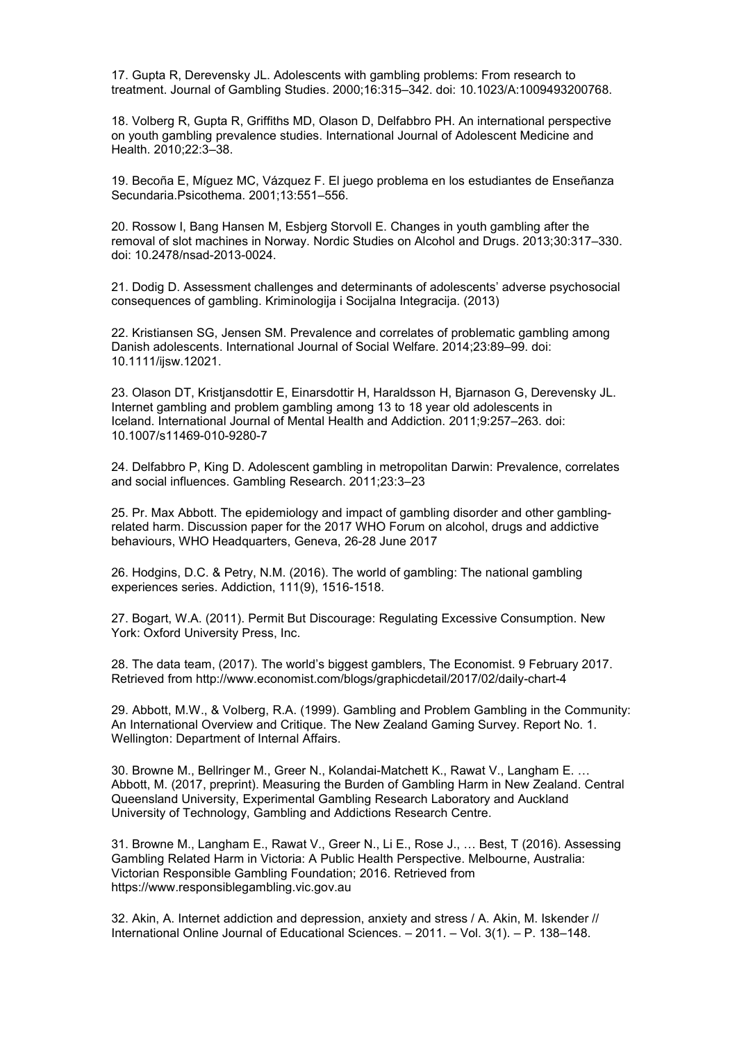17. Gupta R, Derevensky JL. Adolescents with gambling problems: From research to treatment. Journal of Gambling Studies. 2000;16:315–342. doi: 10.1023/A:1009493200768.

18. Volberg R, Gupta R, Griffiths MD, Olason D, Delfabbro PH. An international perspective on youth gambling prevalence studies. International Journal of Adolescent Medicine and Health. 2010;22:3–38.

19. Becoña E, Míguez MC, Vázquez F. El juego problema en los estudiantes de Enseñanza Secundaria.Psicothema. 2001;13:551–556.

20. Rossow I, Bang Hansen M, Esbjerg Storvoll E. Changes in youth gambling after the removal of slot machines in Norway. Nordic Studies on Alcohol and Drugs. 2013;30:317–330. doi: 10.2478/nsad-2013-0024.

21. Dodig D. Assessment challenges and determinants of adolescents' adverse psychosocial consequences of gambling. Kriminologija i Socijalna Integracija. (2013)

22. Kristiansen SG, Jensen SM. Prevalence and correlates of problematic gambling among Danish adolescents. International Journal of Social Welfare. 2014;23:89–99. doi: 10.1111/ijsw.12021.

23. Olason DT, Kristjansdottir E, Einarsdottir H, Haraldsson H, Bjarnason G, Derevensky JL. Internet gambling and problem gambling among 13 to 18 year old adolescents in Iceland. International Journal of Mental Health and Addiction. 2011;9:257–263. doi: 10.1007/s11469-010-9280-7

24. Delfabbro P, King D. Adolescent gambling in metropolitan Darwin: Prevalence, correlates and social influences. Gambling Research. 2011;23:3–23

25. Pr. Max Abbott. The epidemiology and impact of gambling disorder and other gamblingrelated harm. Discussion paper for the 2017 WHO Forum on alcohol, drugs and addictive behaviours, WHO Headquarters, Geneva, 26-28 June 2017

26. Hodgins, D.C. & Petry, N.M. (2016). The world of gambling: The national gambling experiences series. Addiction, 111(9), 1516-1518.

27. Bogart, W.A. (2011). Permit But Discourage: Regulating Excessive Consumption. New York: Oxford University Press, Inc.

28. The data team, (2017). The world's biggest gamblers, The Economist.9 February 2017. Retrieved from <http://www.economist.com/blogs/graphicdetail/2017/02/daily-chart-4>

29. Abbott, M.W., & Volberg, R.A. (1999). Gambling and Problem Gambling in the Community: An International Overview and Critique. The New Zealand Gaming Survey. Report No. 1. Wellington: Department of Internal Affairs.

30. Browne M., Bellringer M., Greer N., Kolandai-Matchett K., Rawat V., Langham E. … Abbott, M. (2017, preprint). Measuring the Burden of Gambling Harm in New Zealand. Central Queensland University, Experimental Gambling Research Laboratory and Auckland University of Technology, Gambling and Addictions Research Centre.

31. Browne M., Langham E., Rawat V., Greer N., Li E., Rose J., ... Best, T (2016). Assessing Gambling Related Harm in Victoria: A Public Health Perspective. Melbourne, Australia: Victorian Responsible Gambling Foundation; 2016. Retrieved from <https://www.responsiblegambling.vic.gov.au>

32. Akin, A. Internet addiction and depression, anxiety and stress / A. Akin, M. Iskender // International Online Journal of Educational Sciences. – 2011. – Vol. 3(1). – Р. 138–148.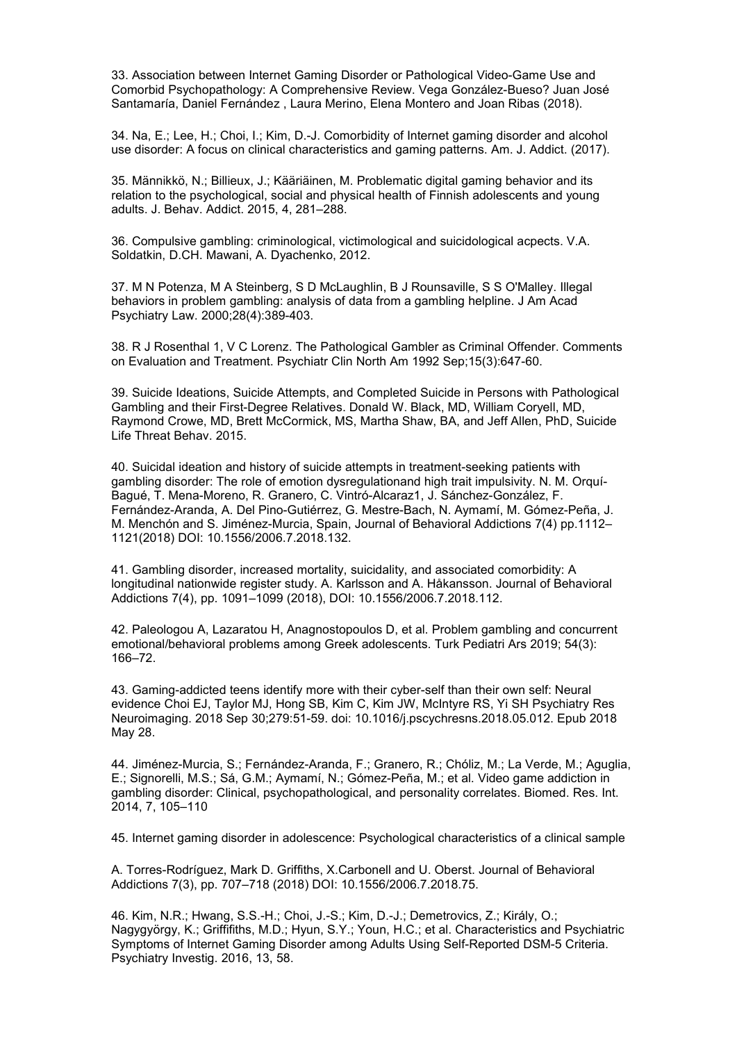33. Association between Internet Gaming Disorder or Pathological Video-Game Use and Comorbid Psychopathology: A Comprehensive Review. Vega González-Bueso? Juan José Santamaría, Daniel Fernández , Laura Merino, Elena Montero and Joan Ribas (2018).

34. Na, E.; Lee, H.; Choi, I.; Kim, D.-J. Comorbidity of Internet gaming disorder and alcohol use disorder: A focus on clinical characteristics and gaming patterns. Am. J. Addict. (2017).

35. Männikkö, N.; Billieux, J.; Kääriäinen, M. Problematic digital gaming behavior and its relation to the psychological, social and physical health of Finnish adolescents and young adults. J. Behav. Addict. 2015, 4, 281–288.

36. Compulsive gambling: criminological, victimological and suicidological acpects. V.A. Soldatkin, D.CH. Mawani, A. Dyachenko, 2012.

37. M N [Potenza](https://pubmed.ncbi.nlm.nih.gov/?term=Potenza+MN&cauthor_id=11196248), M A [Steinberg](https://pubmed.ncbi.nlm.nih.gov/?term=Steinberg+MA&cauthor_id=11196248), S D [McLaughlin,](https://pubmed.ncbi.nlm.nih.gov/?term=McLaughlin+SD&cauthor_id=11196248) B J [Rounsaville](https://pubmed.ncbi.nlm.nih.gov/?term=Rounsaville+BJ&cauthor_id=11196248), S S [O'Malley](https://pubmed.ncbi.nlm.nih.gov/?term=O). Illegal behaviors in problem gambling: analysis of data from a gambling helpline. J Am Acad Psychiatry Law. 2000;28(4):389-403.

38. R J [Rosenthal](https://pubmed.ncbi.nlm.nih.gov/?term=Rosenthal+RJ&cauthor_id=1409026) [1,](https://pubmed.ncbi.nlm.nih.gov/1409026/) V C [Lorenz](https://pubmed.ncbi.nlm.nih.gov/?term=Lorenz+VC&cauthor_id=1409026). The Pathological Gambler as Criminal Offender. Comments on Evaluation and Treatment. Psychiatr Clin North Am 1992 Sep;15(3):647-60.

39. Suicide Ideations, Suicide Attempts, and Completed Suicide in Persons with Pathological Gambling and their First-Degree Relatives. Donald W. Black, MD, William Coryell, MD, Raymond Crowe, MD, Brett McCormick, MS, Martha Shaw, BA, and Jeff Allen, PhD, Suicide Life Threat Behav. 2015.

40. Suicidal ideation and history of suicide attempts in treatment-seeking patients with gambling disorder: The role of emotion dysregulationand high trait impulsivity. N. M. Orquí- Bagué, T. Mena-Moreno, R. Granero, C. Vintró-Alcaraz1, J. Sánchez-González, F. Fernández-Aranda, A. Del Pino-Gutiérrez, G. Mestre-Bach, N. Aymamí, M. Gómez-Peña, J. M. Menchón and S. Jiménez-Murcia, Spain, Journal of Behavioral Addictions 7(4) pp.1112– 1121(2018) DOI: 10.1556/2006.7.2018.132.

41. Gambling disorder, increased mortality, suicidality, and associated comorbidity: A longitudinal nationwide register study. A. Karlsson and A. Håkansson. Journal of Behavioral Addictions 7(4), pp. 1091–1099 (2018), DOI: 10.1556/2006.7.2018.112.

42. Paleologou A, Lazaratou H, Anagnostopoulos D, et al. Problem gambling and concurrent emotional/behavioral problems among Greek adolescents. Turk Pediatri Ars 2019; 54(3): 166–72.

43. Gaming-addicted teens identify more with their cyber-self than their own self: Neural evidence [Choi](https://www.ncbi.nlm.nih.gov/pubmed/?term=Choi EJ[Author]&cauthor=true&cauthor_uid=29891257) EJ, [Taylor](https://www.ncbi.nlm.nih.gov/pubmed/?term=Taylor MJ[Author]&cauthor=true&cauthor_uid=29891257) MJ, [Hong](https://www.ncbi.nlm.nih.gov/pubmed/?term=Hong SB[Author]&cauthor=true&cauthor_uid=29891257) SB, [Kim](https://www.ncbi.nlm.nih.gov/pubmed/?term=Kim C[Author]&cauthor=true&cauthor_uid=29891257) C, [Kim](https://www.ncbi.nlm.nih.gov/pubmed/?term=Kim JW[Author]&cauthor=true&cauthor_uid=29891257) JW, [McIntyre](https://www.ncbi.nlm.nih.gov/pubmed/?term=McIntyre RS[Author]&cauthor=true&cauthor_uid=29891257) RS, Yi [SH](https://www.ncbi.nlm.nih.gov/pubmed/?term=Yi SH[Author]&cauthor=true&cauthor_uid=29891257) [Psychiatry](https://www.ncbi.nlm.nih.gov/pubmed/29891257) Res Neuroimaging. 2018 Sep 30;279:51-59. doi: 10.1016/j.pscychresns.2018.05.012. Epub 2018 May 28.

44. Jiménez-Murcia, S.; Fernández-Aranda, F.; Granero, R.; Chóliz, M.; La Verde, M.; Aguglia, E.; Signorelli, M.S.; Sá, G.M.; Aymamí, N.; Gómez-Peña, M.; et al. Video game addiction in gambling disorder: Clinical, psychopathological, and personality correlates. Biomed. Res. Int. 2014, 7, 105–110

45. Internet gaming disorder in adolescence: Psychological characteristics of a clinicalsample

A. Torres-Rodríguez, Mark D. Griffiths, X.Carbonell and U. Oberst. Journal of Behavioral Addictions 7(3), pp. 707–718 (2018) DOI: 10.1556/2006.7.2018.75.

46. Kim, N.R.; Hwang, S.S.-H.; Choi, J.-S.; Kim, D.-J.; Demetrovics, Z.; Király, O.; Nagygyörgy, K.; Griffifiths, M.D.; Hyun, S.Y.; Youn, H.C.; et al. Characteristics and Psychiatric Symptoms of Internet Gaming Disorder among Adults Using Self-Reported DSM-5 Criteria. Psychiatry Investig. 2016, 13, 58.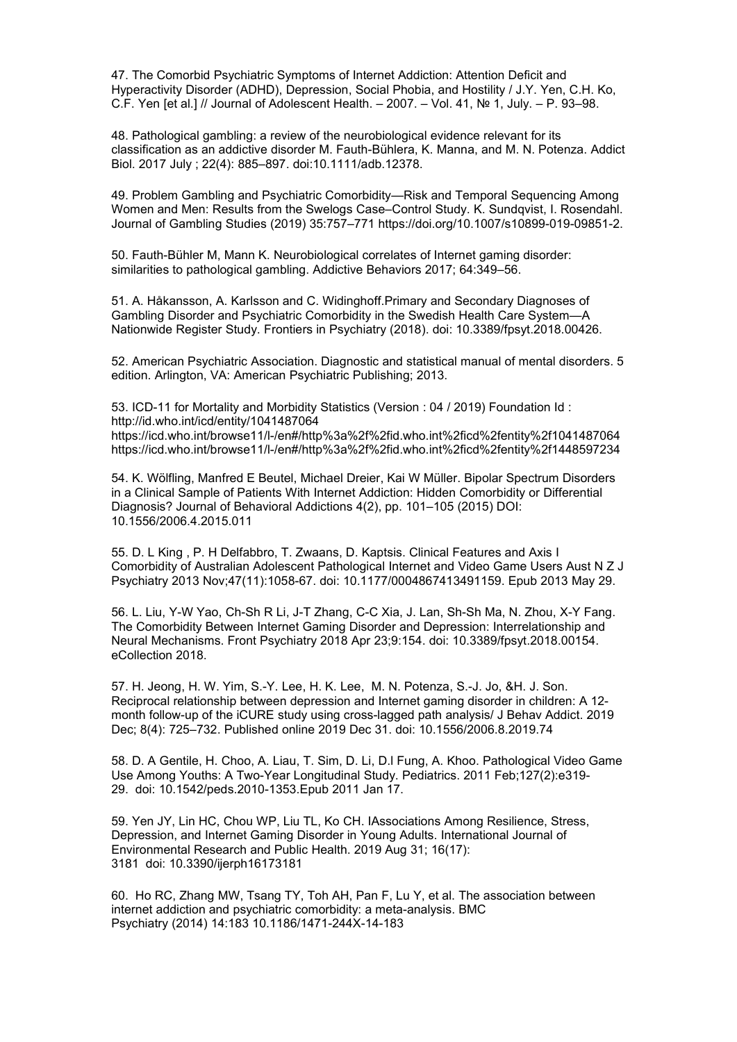47. The Comorbid Psychiatric Symptoms of Internet Addiction: Attention Deficit and Hyperactivity Disorder (ADHD), Depression, Social Phobia, and Hostility / J.Y. Yen, C.H. Ko, C.F. Yen [et al.] // Journal of Adolescent Health. – 2007. – Vol. 41, № 1, July. – P. 93–98.

48. Pathological gambling: a review of the neurobiological evidence relevant for its classification as an addictive disorder M.Fauth-Bühlera, K. Manna, and M. N. Potenza. Addict Biol. 2017 July ; 22(4): 885–897. doi:10.1111/adb.12378.

49. Problem Gambling and Psychiatric Comorbidity—Risk and Temporal Sequencing Among Women and Men: Results from the Swelogs Case–Control Study. K. Sundqvist, I. Rosendahl. Journal of Gambling Studies (2019)35:757–771 [https://doi.org/10.1007/s10899-019-09851-2.](https://doi.org/10.1007/s10899-019-09851-2)

50. Fauth-Bühler M, Mann K. Neurobiological correlates of Internet gaming disorder: similarities to pathological gambling. Addictive Behaviors 2017; 64:349–56.

51. A. Håkansson, A. Karlsson and C. Widinghoff.Primary and Secondary Diagnoses of Gambling Disorder and Psychiatric Comorbidity in the Swedish Health Care System—A Nationwide Register Study. Frontiers in Psychiatry (2018). doi: 10.3389/fpsyt.2018.00426.

52. American Psychiatric Association. Diagnostic and statistical manual of mental disorders. 5 edition. Arlington, VA: American Psychiatric Publishing; 2013.

53. ICD-11 for Mortality and Morbidity Statistics (Version : 04 / 2019) Foundation Id : <http://id.who.int/icd/entity/1041487064> [https://icd.who.int/browse11/l-/en#/http%3a%2f%2fid.who.int%2ficd%2fentity%2f1041487064](https://icd.who.int/browse11/l-m/en) [https://icd.who.int/browse11/l-/en#/http%3a%2f%2fid.who.int%2ficd%2fentity%2f1448597234](https://icd.who.int/browse11/l-m/en)

54. K. [Wölfling](https://pubmed.ncbi.nlm.nih.gov/?term=W), [Manfred](https://pubmed.ncbi.nlm.nih.gov/?term=Beutel+ME&cauthor_id=26132914) E Beutel, [Michael](https://pubmed.ncbi.nlm.nih.gov/?term=Dreier+M&cauthor_id=26132914) Dreier, Kai W [Müller.](https://pubmed.ncbi.nlm.nih.gov/?term=M) Bipolar Spectrum Disorders in a Clinical Sample of Patients With Internet Addiction: Hidden Comorbidity or Differential Diagnosis? Journal of Behavioral Addictions 4(2), pp. 101–105 (2015) DOI: 10.1556/2006.4.2015.011

55. D. L [King](https://pubmed.ncbi.nlm.nih.gov/?term=King+DL&cauthor_id=23719181) , P. H [Delfabbro,](https://pubmed.ncbi.nlm.nih.gov/?term=Delfabbro+PH&cauthor_id=23719181) T. [Zwaans,](https://pubmed.ncbi.nlm.nih.gov/?term=Zwaans+T&cauthor_id=23719181) D. [Kaptsis](https://pubmed.ncbi.nlm.nih.gov/?term=Kaptsis+D&cauthor_id=23719181). Clinical Features and Axis I Comorbidity of Australian Adolescent Pathological Internet and Video Game Users Aust N Z J Psychiatry 2013 Nov;47(11):1058-67. doi: 10.1177/0004867413491159. Epub 2013 May 29.

56. L. [Liu](https://pubmed.ncbi.nlm.nih.gov/?term=Liu+L&cauthor_id=29740358), [Y-W](https://pubmed.ncbi.nlm.nih.gov/?term=Yao+YW&cauthor_id=29740358) Yao, [Ch-Sh](https://pubmed.ncbi.nlm.nih.gov/?term=Li+CR&cauthor_id=29740358) R Li, J-T [Zhang](https://pubmed.ncbi.nlm.nih.gov/?term=Zhang+JT&cauthor_id=29740358), [C-C](https://pubmed.ncbi.nlm.nih.gov/?term=Xia+CC&cauthor_id=29740358) Xia, J. [Lan,](https://pubmed.ncbi.nlm.nih.gov/?term=Lan+J&cauthor_id=29740358) [Sh-Sh](https://pubmed.ncbi.nlm.nih.gov/?term=Ma+SS&cauthor_id=29740358) Ma, N. [Zhou,](https://pubmed.ncbi.nlm.nih.gov/?term=Zhou+N&cauthor_id=29740358) X-Y [Fang.](https://pubmed.ncbi.nlm.nih.gov/?term=Fang+XY&cauthor_id=29740358) The Comorbidity Between Internet Gaming Disorder and Depression: Interrelationship and Neural Mechanisms. Front Psychiatry 2018 Apr 23;9:154. doi: 10.3389/fpsyt.2018.00154. eCollection 2018.

57. H. [Jeong,](https://www.ncbi.nlm.nih.gov/pubmed/?term=Jeong H[Author]) H. W. [Yim](https://www.ncbi.nlm.nih.gov/pubmed/?term=Yim HW[Author]), [S.-Y.](https://www.ncbi.nlm.nih.gov/pubmed/?term=Lee SY[Author]) Lee, H. K. [Lee,](https://www.ncbi.nlm.nih.gov/pubmed/?term=Lee HK[Author]) M. N. [Potenza](https://www.ncbi.nlm.nih.gov/pubmed/?term=Potenza MN[Author]), [S.-J.](https://www.ncbi.nlm.nih.gov/pubmed/?term=Jo SJ[Author]) Jo, &H. J. [Son](https://www.ncbi.nlm.nih.gov/pubmed/?term=Son HJ[Author]). Reciprocal relationship between depression and Internet gaming disorder in children: A 12 month follow-up of the iCURE study using cross-lagged path analysis/ J [Behav](https://www.ncbi.nlm.nih.gov/pmc/articles/PMC7044588/) Addict. 2019 Dec; 8(4): 725–732. Published online 2019 Dec 31. doi: [10.1556/2006.8.2019.74](https://dx.doi.org/10.1556/2006.8.2019.74)

58. D. A [Gentile,](https://pubmed.ncbi.nlm.nih.gov/?term=Gentile+DA&cauthor_id=21242221) H. [Choo,](https://pubmed.ncbi.nlm.nih.gov/?term=Choo+H&cauthor_id=21242221) A. [Liau,](https://pubmed.ncbi.nlm.nih.gov/?term=Liau+A&cauthor_id=21242221) T. [Sim,](https://pubmed.ncbi.nlm.nih.gov/?term=Sim+T&cauthor_id=21242221) [D.](https://pubmed.ncbi.nlm.nih.gov/?term=Li+D&cauthor_id=21242221) Li, D.l [Fung](https://pubmed.ncbi.nlm.nih.gov/?term=Fung+D&cauthor_id=21242221), A. [Khoo.](https://pubmed.ncbi.nlm.nih.gov/?term=Khoo+A&cauthor_id=21242221) Pathological Video Game Use Among Youths: A Two-Year Longitudinal Study. Pediatrics. 2011 Feb;127(2):e319- 29. doi: 10.1542/peds.2010-1353.Epub 2011 Jan 17.

59. Yen JY, Lin HC, Chou WP, Liu TL, Ko CH.IAssociations Among Resilience, Stress, Depression, and Internet Gaming Disorder in Young Adults. International Journal of Environmental Research and Public Health. 2019 Aug 31; 16(17): 3181 doi: [10.3390/ijerph16173181](https://dx.doi.org/10.3390/ijerph16173181)

60. Ho RC, Zhang MW, Tsang TY, Toh AH, Pan F, Lu Y, et al. The association between internet addiction and psychiatric comorbidity: a meta-analysis. BMC Psychiatry (2014)14:183 10.1186/1471-244X-14-183